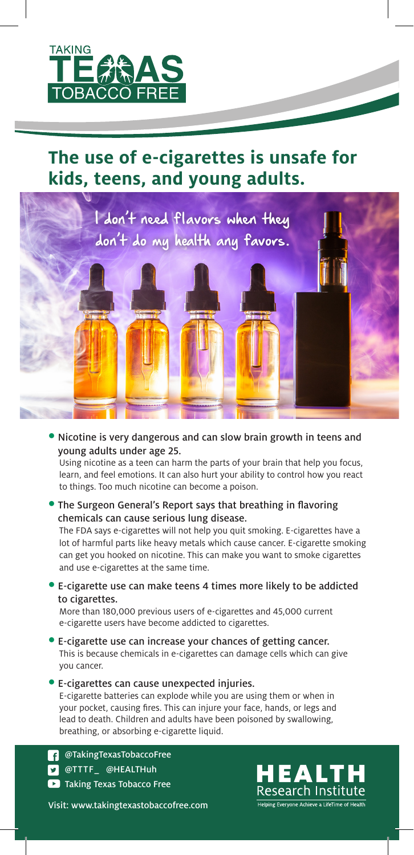

# **The use of e-cigarettes is unsafe for kids, teens, and young adults.**



• Nicotine is very dangerous and can slow brain growth in teens and young adults under age 25.

Using nicotine as a teen can harm the parts of your brain that help you focus, learn, and feel emotions. It can also hurt your ability to control how you react to things. Too much nicotine can become a poison.

• The Surgeon General's Report says that breathing in flavoring chemicals can cause serious lung disease.

The FDA says e-cigarettes will not help you quit smoking. E-cigarettes have a lot of harmful parts like heavy metals which cause cancer. E-cigarette smoking can get you hooked on nicotine. This can make you want to smoke cigarettes and use e-cigarettes at the same time.

• E-cigarette use can make teens 4 times more likely to be addicted to cigarettes.

More than 180,000 previous users of e-cigarettes and 45,000 current e-cigarette users have become addicted to cigarettes.

- E-cigarette use can increase your chances of getting cancer. This is because chemicals in e-cigarettes can damage cells which can give you cancer.
- E-cigarettes can cause unexpected injuries. E-cigarette batteries can explode while you are using them or when in your pocket, causing fires. This can injure your face, hands, or legs and lead to death. Children and adults have been poisoned by swallowing, breathing, or absorbing e-cigarette liquid.

**Taking Texas Tobacco Free D** @TTTF\_ @HEALTHuh **3** @TakingTexasTobaccoFree

Visit: www.takingtexastobaccofree.com